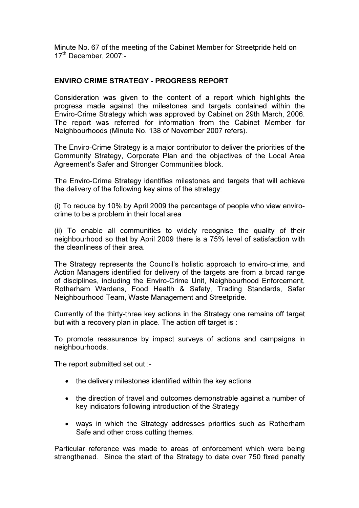Minute No. 67 of the meeting of the Cabinet Member for Streetpride held on 17<sup>th</sup> December, 2007:-

## ENVIRO CRIME STRATEGY - PROGRESS REPORT

Consideration was given to the content of a report which highlights the progress made against the milestones and targets contained within the Enviro-Crime Strategy which was approved by Cabinet on 29th March, 2006. The report was referred for information from the Cabinet Member for Neighbourhoods (Minute No. 138 of November 2007 refers).

The Enviro-Crime Strategy is a major contributor to deliver the priorities of the Community Strategy, Corporate Plan and the objectives of the Local Area Agreement's Safer and Stronger Communities block.

The Enviro-Crime Strategy identifies milestones and targets that will achieve the delivery of the following key aims of the strategy:

(i) To reduce by 10% by April 2009 the percentage of people who view envirocrime to be a problem in their local area

(ii) To enable all communities to widely recognise the quality of their neighbourhood so that by April 2009 there is a 75% level of satisfaction with the cleanliness of their area.

The Strategy represents the Council's holistic approach to enviro-crime, and Action Managers identified for delivery of the targets are from a broad range of disciplines, including the Enviro-Crime Unit, Neighbourhood Enforcement, Rotherham Wardens, Food Health & Safety, Trading Standards, Safer Neighbourhood Team, Waste Management and Streetpride.

Currently of the thirty-three key actions in the Strategy one remains off target but with a recovery plan in place. The action off target is :

To promote reassurance by impact surveys of actions and campaigns in neighbourhoods.

The report submitted set out :-

- the delivery milestones identified within the key actions
- the direction of travel and outcomes demonstrable against a number of key indicators following introduction of the Strategy
- ways in which the Strategy addresses priorities such as Rotherham Safe and other cross cutting themes.

Particular reference was made to areas of enforcement which were being strengthened. Since the start of the Strategy to date over 750 fixed penalty